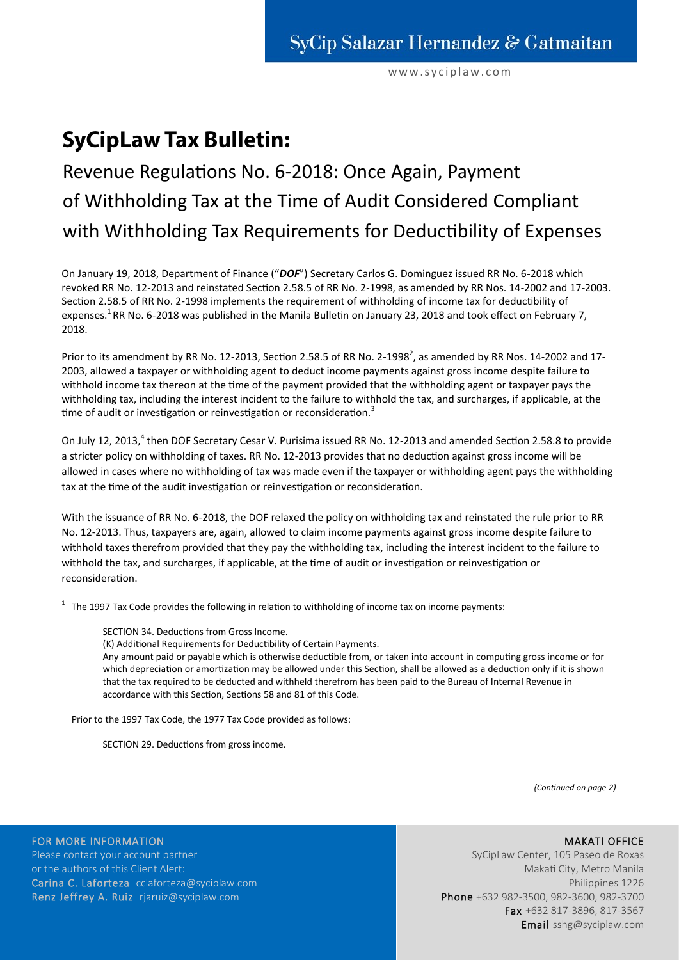www.syciplaw.com

## **SyCipLaw Tax Bulletin:**

## Revenue Regulations No. 6-2018: Once Again, Payment of Withholding Tax at the Time of Audit Considered Compliant with Withholding Tax Requirements for Deductibility of Expenses

On January 19, 2018, Department of Finance ("*DOF*") Secretary Carlos G. Dominguez issued RR No. 6-2018 which revoked RR No. 12-2013 and reinstated Section 2.58.5 of RR No. 2-1998, as amended by RR Nos. 14-2002 and 17-2003. Section 2.58.5 of RR No. 2-1998 implements the requirement of withholding of income tax for deductibility of expenses.<sup>1</sup>RR No. 6-2018 was published in the Manila Bulletin on January 23, 2018 and took effect on February 7, 2018.

Prior to its amendment by RR No. 12-2013, Section 2.58.5 of RR No. 2-1998<sup>2</sup>, as amended by RR Nos. 14-2002 and 17-2003, allowed a taxpayer or withholding agent to deduct income payments against gross income despite failure to withhold income tax thereon at the time of the payment provided that the withholding agent or taxpayer pays the withholding tax, including the interest incident to the failure to withhold the tax, and surcharges, if applicable, at the time of audit or investigation or reinvestigation or reconsideration.<sup>3</sup>

On July 12, 2013,<sup>4</sup> then DOF Secretary Cesar V. Purisima issued RR No. 12-2013 and amended Section 2.58.8 to provide a stricter policy on withholding of taxes. RR No. 12-2013 provides that no deduction against gross income will be allowed in cases where no withholding of tax was made even if the taxpayer or withholding agent pays the withholding tax at the time of the audit investigation or reinvestigation or reconsideration.

With the issuance of RR No. 6-2018, the DOF relaxed the policy on withholding tax and reinstated the rule prior to RR No. 12-2013. Thus, taxpayers are, again, allowed to claim income payments against gross income despite failure to withhold taxes therefrom provided that they pay the withholding tax, including the interest incident to the failure to withhold the tax, and surcharges, if applicable, at the time of audit or investigation or reinvestigation or reconsideration.

 $1$  The 1997 Tax Code provides the following in relation to withholding of income tax on income payments:

SECTION 34. Deductions from Gross Income.

(K) Additional Requirements for Deductibility of Certain Payments.

Any amount paid or payable which is otherwise deductible from, or taken into account in computing gross income or for which depreciation or amortization may be allowed under this Section, shall be allowed as a deduction only if it is shown that the tax required to be deducted and withheld therefrom has been paid to the Bureau of Internal Revenue in accordance with this Section, Sections 58 and 81 of this Code.

Prior to the 1997 Tax Code, the 1977 Tax Code provided as follows:

SECTION 29. Deductions from gross income.

*(Continued on page 2)*

## MAKATI OFFICE

FOR MORE INFORMATION Please contact your account partner or the authors of this Client Alert: Carina C. Laforteza cclaforteza@syciplaw.com Renz Jeffrey A. Ruiz rjaruiz@syciplaw.com

SyCipLaw Center, 105 Paseo de Roxas Makati City, Metro Manila Philippines 1226 Phone +632 982-3500, 982-3600, 982-3700 Fax +632 817-3896, 817-3567 Email sshg@syciplaw.com